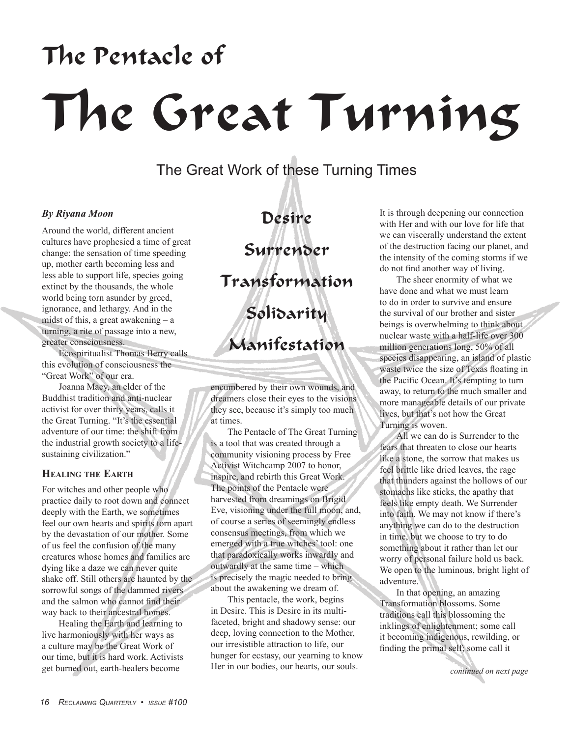# The Pentacle of The Great Turning

The Great Work of these Turning Times

### *By Riyana Moon*

Around the world, different ancient cultures have prophesied a time of great change: the sensation of time speeding up, mother earth becoming less and less able to support life, species going extinct by the thousands, the whole world being torn asunder by greed, ignorance, and lethargy. And in the midst of this, a great awakening  $-$  a turning, a rite of passage into a new, greater consciousness.

Ecospiritualist Thomas Berry calls this evolution of consciousness the "Great Work" of our era.

Joanna Macy, an elder of the Buddhist tradition and anti-nuclear activist for over thirty years, calls it the Great Turning. "It's the essential adventure of our time: the shift from the industrial growth society to a lifesustaining civilization."

## **Healing the Earth**

For witches and other people who practice daily to root down and connect deeply with the Earth, we sometimes feel our own hearts and spirits torn apart by the devastation of our mother. Some of us feel the confusion of the many creatures whose homes and families are dying like a daze we can never quite shake off. Still others are haunted by the sorrowful songs of the dammed rivers and the salmon who cannot find their way back to their ancestral homes.

Healing the Earth and learning to live harmoniously with her ways as a culture may be the Great Work of our time, but it is hard work. Activists get burned out, earth-healers become

Desire Surrender Transformation Solidarity Manifestation

encumbered by their own wounds, and dreamers close their eyes to the visions they see, because it's simply too much at times.

The Pentacle of The Great Turning is a tool that was created through a community visioning process by Free Activist Witchcamp 2007 to honor, inspire, and rebirth this Great Work. The points of the Pentacle were harvested from dreamings on Brigid Eve, visioning under the full moon, and, of course a series of seemingly endless consensus meetings, from which we emerged with a true witches' tool: one that paradoxically works inwardly and outwardly at the same time – which is precisely the magic needed to bring about the awakening we dream of.

This pentacle, the work, begins in Desire. This is Desire in its multifaceted, bright and shadowy sense: our deep, loving connection to the Mother, our irresistible attraction to life, our hunger for ecstasy, our yearning to know Her in our bodies, our hearts, our souls.

It is through deepening our connection with Her and with our love for life that we can viscerally understand the extent of the destruction facing our planet, and the intensity of the coming storms if we do not find another way of living.

The sheer enormity of what we have done and what we must learn to do in order to survive and ensure the survival of our brother and sister beings is overwhelming to think about – nuclear waste with a half-life over 300 million generations long, 50% of all species disappearing, an island of plastic waste twice the size of Texas floating in the Pacific Ocean. It's tempting to turn away, to return to the much smaller and more manageable details of our private lives, but that's not how the Great Turning is woven.

All we can do is Surrender to the fears that threaten to close our hearts like a stone, the sorrow that makes us feel brittle like dried leaves, the rage that thunders against the hollows of our stomachs like sticks, the apathy that feels like empty death. We Surrender into faith. We may not know if there's anything we can do to the destruction in time, but we choose to try to do something about it rather than let our worry of personal failure hold us back. We open to the luminous, bright light of adventure.

In that opening, an amazing Transformation blossoms. Some traditions call this blossoming the inklings of enlightenment; some call it becoming indigenous, rewilding, or finding the primal self; some call it

*continued on next page*